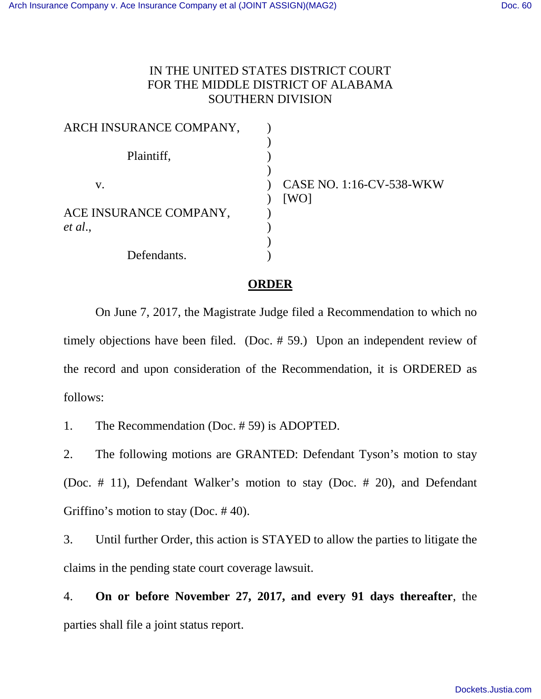## IN THE UNITED STATES DISTRICT COURT FOR THE MIDDLE DISTRICT OF ALABAMA SOUTHERN DIVISION

| ARCH INSURANCE COMPANY, |                                 |
|-------------------------|---------------------------------|
|                         |                                 |
| Plaintiff,              |                                 |
|                         |                                 |
| V.                      | <b>CASE NO. 1:16-CV-538-WKW</b> |
|                         | [WO]                            |
| ACE INSURANCE COMPANY,  |                                 |
| et al.,                 |                                 |
|                         |                                 |
| Defendants.             |                                 |

## **ORDER**

On June 7, 2017, the Magistrate Judge filed a Recommendation to which no timely objections have been filed. (Doc. # 59.) Upon an independent review of the record and upon consideration of the Recommendation, it is ORDERED as follows:

1. The Recommendation (Doc. # 59) is ADOPTED.

2. The following motions are GRANTED: Defendant Tyson's motion to stay (Doc. # 11), Defendant Walker's motion to stay (Doc. # 20), and Defendant Griffino's motion to stay (Doc. # 40).

3. Until further Order, this action is STAYED to allow the parties to litigate the claims in the pending state court coverage lawsuit.

4. **On or before November 27, 2017, and every 91 days thereafter**, the parties shall file a joint status report.